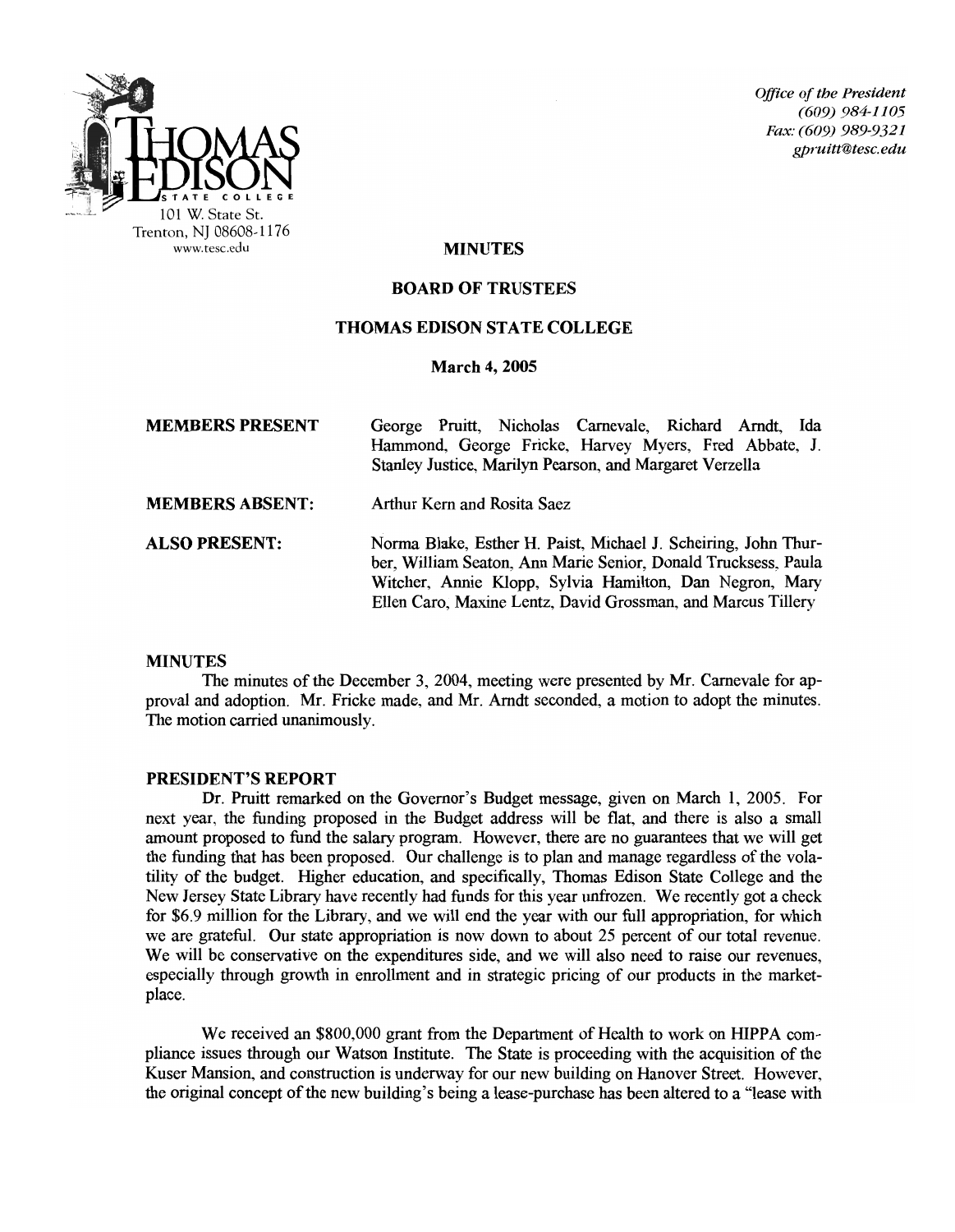

**Office of the President** *(609) 984-1105 Fax: (609) 989-9321 gpruitt@tesc.edu* 

### MINUTES

#### BOARD OF TRUSTEES

### THOMAS EDISON STATE COLLEGE

#### March 4, 2005

| <b>MEMBERS PRESENT</b> | George Pruitt, Nicholas Carnevale, Richard Arndt, Ida<br>Hammond, George Fricke, Harvey Myers, Fred Abbate, J.<br>Stanley Justice, Marilyn Pearson, and Margaret Verzella                                                                                   |
|------------------------|-------------------------------------------------------------------------------------------------------------------------------------------------------------------------------------------------------------------------------------------------------------|
| <b>MEMBERS ABSENT:</b> | Arthur Kern and Rosita Saez                                                                                                                                                                                                                                 |
| <b>ALSO PRESENT:</b>   | Norma Blake, Esther H. Paist, Michael J. Scheiring, John Thur-<br>ber, William Seaton, Ann Marie Senior, Donald Trucksess, Paula<br>Witcher, Annie Klopp, Sylvia Hamilton, Dan Negron, Mary<br>Ellen Caro, Maxine Lentz, David Grossman, and Marcus Tillery |

### MINUTES

The minutes of the December 3, 2004, meeting were presented by Mr. Carnevale for approval and adoption. Mr. Fricke made, and Mr. Arndt seconded, a motion to adopt the minutes. The motion carried unanimously.

#### PRESIDENT'S REPORT

Dr. Pruitt remarked on the Governor's Budget message, given on March 1, 2005. For next year, the funding proposed in the Budget address will be flat, and there is also a small amount proposed to fund the salary program. However, there are no guarantees that we will get the funding that has been proposed. Our challenge is to plan and manage regardless of the volatility of the budget. Higher education, and specifically, Thomas Edison State College and the New Jersey State Library have recently had funds for this year unfrozen. We recently got a check for \$6.9 million for the Library, and we will end the year with our full appropriation, for which we are grateful. Our state appropriation is now down to about 25 percent of our total revenue. We will be conservative on the expenditures side, and we will also need to raise our revenues, especially through growth in enrollment and in strategic pricing of our products in the marketplace.

We received an \$800,000 grant from the Department of Health to work on HlPPA compliance issues through our Watson Institute. The State is proceeding with the acquisition of the Kuser Mansion, and construction is underway for our new building on Hanover Street. However, the original concept ofthe new building's being a lease-purchase has been altered to a "lease with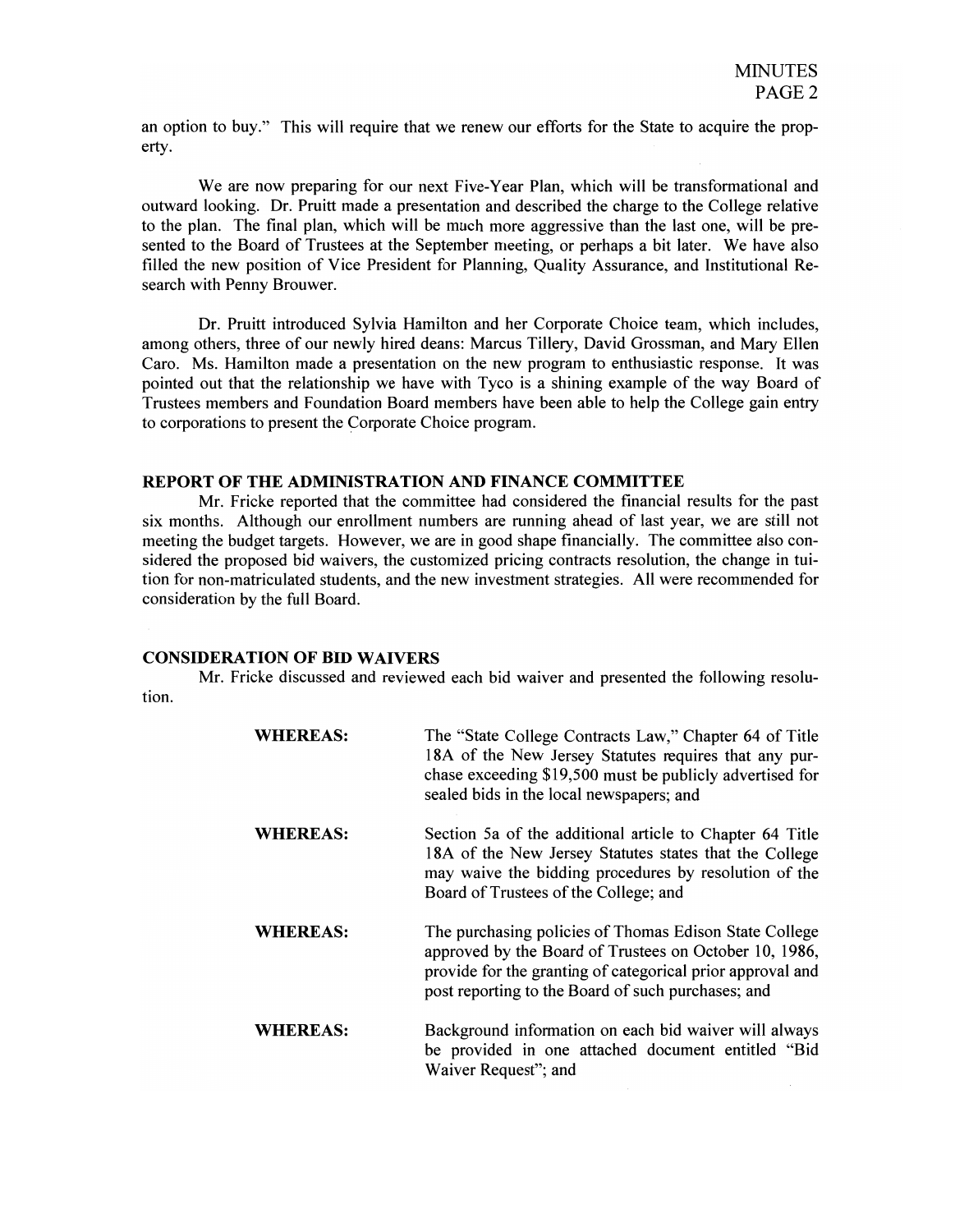an option to buy." This will require that we renew our efforts for the State to acquire the property.

We are now preparing for our next Five-Year Plan, which will be transformational and outward looking. Dr. Pruitt made a presentation and described the charge to the College relative to the plan. The final plan, which will be much more aggressive than the last one, will be presented to the Board of Trustees at the September meeting, or perhaps a bit later. We have also filled the new position of Vice President for Planning, Quality Assurance, and Institutional Research with Penny Brouwer.

Dr. Pruitt introduced Sylvia Hamilton and her Corporate Choice team, which includes, among others, three of our newly hired deans: Marcus Tillery, David Grossman, and Mary Ellen Caro. Ms. Hamilton made a presentation on the new program to enthusiastic response. It was pointed out that the relationship we have with Tyco is a shining example of the way Board of Trustees members and Foundation Board members have been able to help the College gain entry to corporations to present the Corporate Choice program.

### **REPORT OF THE ADMINISTRATION AND FINANCE COMMITTEE**

Mr. Fricke reported that the committee had considered the financial results for the past six months. Although our enrollment numbers are running ahead of last year, we are still not meeting the budget targets. However, we are in good shape financially. The committee also considered the proposed bid waivers, the customized pricing contracts resolution, the change in tuition for non-matriculated students, and the new investment strategies. All were recommended for consideration by the full Board.

#### **CONSIDERATION OF BID WAIVERS**

Mr. Fricke discussed and reviewed each bid waiver and presented the following resolution.

| <b>WHEREAS:</b> | The "State College Contracts Law," Chapter 64 of Title<br>18A of the New Jersey Statutes requires that any pur-<br>chase exceeding \$19,500 must be publicly advertised for<br>sealed bids in the local newspapers; and              |
|-----------------|--------------------------------------------------------------------------------------------------------------------------------------------------------------------------------------------------------------------------------------|
| <b>WHEREAS:</b> | Section 5a of the additional article to Chapter 64 Title<br>18A of the New Jersey Statutes states that the College<br>may waive the bidding procedures by resolution of the<br>Board of Trustees of the College; and                 |
| WHEREAS:        | The purchasing policies of Thomas Edison State College<br>approved by the Board of Trustees on October 10, 1986,<br>provide for the granting of categorical prior approval and<br>post reporting to the Board of such purchases; and |
| <b>WHEREAS:</b> | Background information on each bid waiver will always<br>be provided in one attached document entitled "Bid<br>Waiver Request"; and                                                                                                  |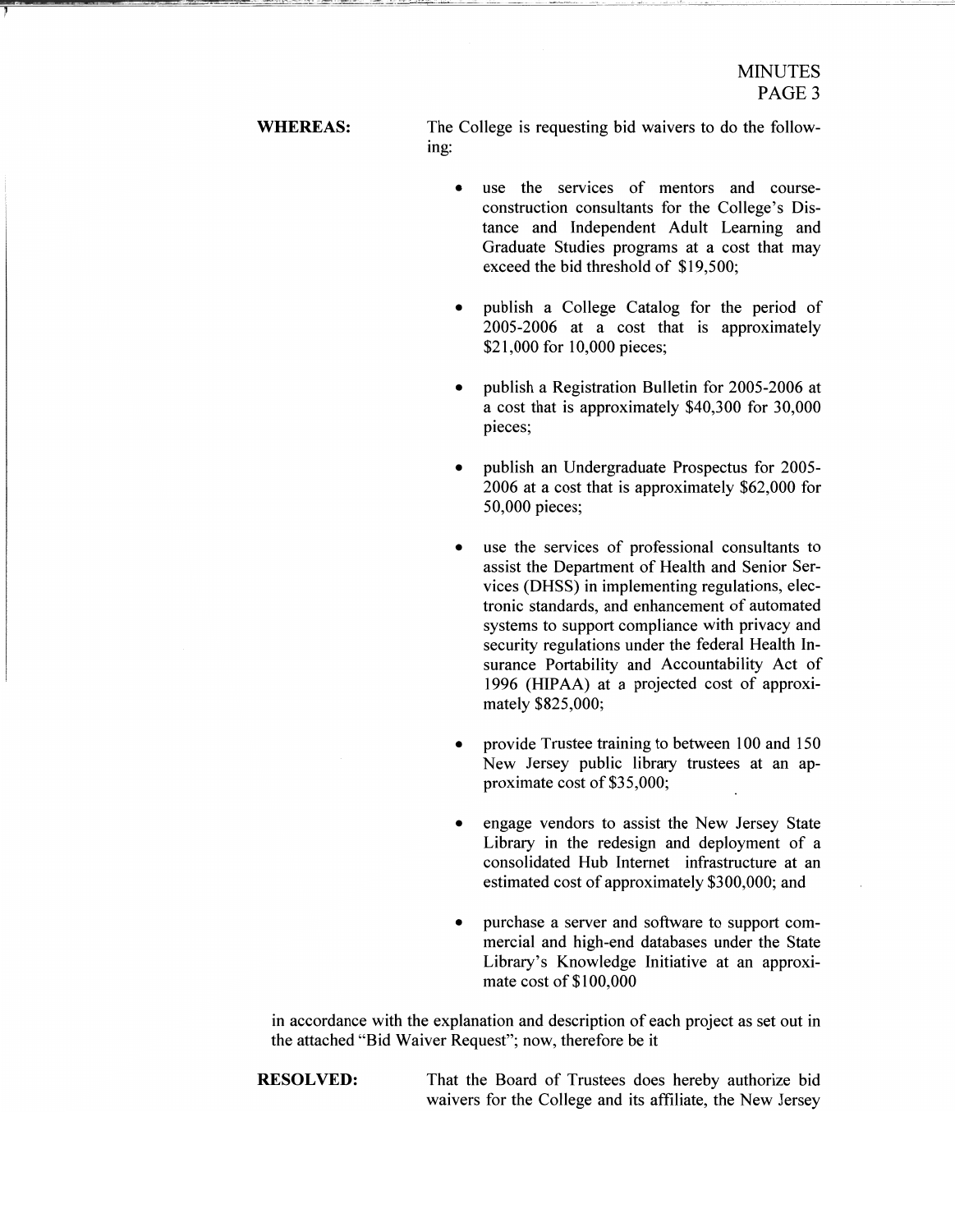WHEREAS: The College is requesting bid waivers to do the following:

- use the services of mentors and courseconstruction consultants for the College's Distance and Independent Adult Learning and Graduate Studies programs at a cost that may exceed the bid threshold of \$19,500;
- publish a College Catalog for the period of 2005-2006 at a cost that is approximately \$21,000 for 10,000 pieces;
- publish a Registration Bulletin for 2005-2006 at a cost that is approximately \$40,300 for 30,000 pieces;
- publish an Undergraduate Prospectus for 2005-2006 at a cost that is approximately \$62,000 for 50,000 pieces;
- use the services of professional consultants to assist the Department of Health and Senior Services (DHSS) in implementing regulations, electronic standards, and enhancement of automated systems to support compliance with privacy and security regulations under the federal Health Insurance Portability and Accountability Act of 1996 (HIPAA) at a projected cost of approximately \$825,000;
- provide Trustee training to between 100 and 150 New Jersey public library trustees at an approximate cost of \$35,000;
- engage vendors to assist the New Jersey State Library in the redesign and deployment of a consolidated Hub Internet infrastructure at an estimated cost of approximately \$300,000; and
- purchase a server and software to support commercial and high-end databases under the State Library's Knowledge Initiative at an approximate cost of  $$100,000$

in accordance with the explanation and description of each project as set out in the attached "Bid Waiver Request"; now, therefore be it

**RESOLVED:** That the Board of Trustees does hereby authorize bid waivers for the College and its affiliate, the New Jersey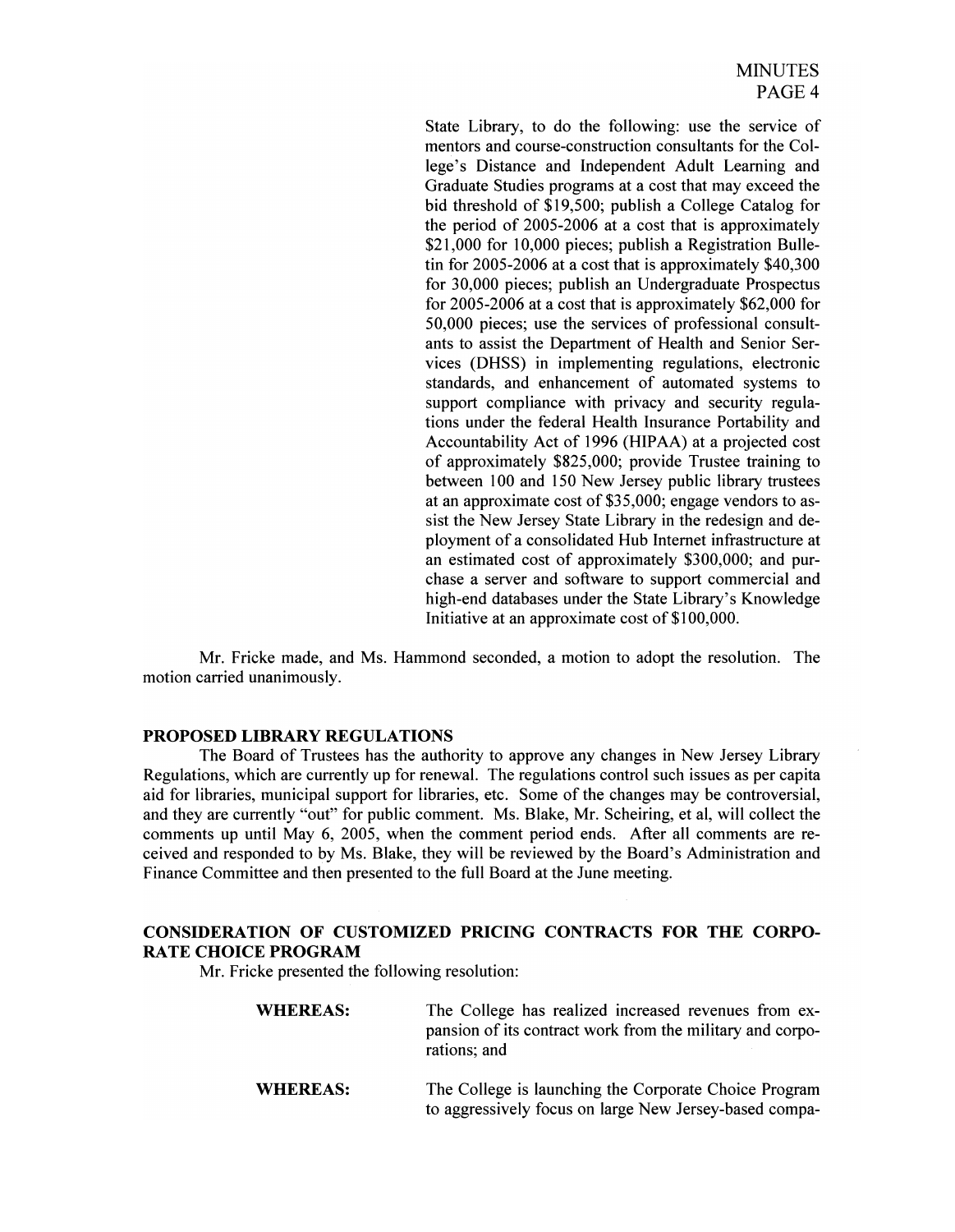State Library, to do the following: use the service of mentors and course-construction consultants for the College's Distance and Independent Adult Learning and Graduate Studies programs at a cost that may exceed the bid threshold of \$19,500; publish a College Catalog for the period of 2005-2006 at a cost that is approximately \$21,000 for 10,000 pieces; publish a Registration Bulletin for 2005-2006 at a cost that is approximately \$40,300 for 30,000 pieces; publish an Undergraduate Prospectus for 2005-2006 at a cost that is approximately \$62,000 for 50,000 pieces; use the services of professional consultants to assist the Department of Health and Senior Services (DHSS) in implementing regulations, electronic standards, and enhancement of automated systems to support compliance with privacy and security regulations under the federal Health Insurance Portability and Accountability Act of 1996 (HIPAA) at a projected cost of approximately \$825,000; provide Trustee training to between 100 and 150 New Jersey public library trustees at an approximate cost of  $$35,000$ ; engage vendors to assist the New Jersey State Library in the redesign and deployment of a consolidated Hub Internet infrastructure at an estimated cost of approximately \$300,000; and purchase a server and software to support commercial and high-end databases under the State Library's Knowledge Initiative at an approximate cost of \$100,000.

Mr. Fricke made, and Ms. Hammond seconded, a motion to adopt the resolution. The motion carried unanimously.

# PROPOSED LIBRARY REGULATIONS

The Board of Trustees has the authority to approve any changes in New Jersey Library Regulations, which are currently up for renewal. The regulations control such issues as per capita aid for libraries, municipal support for libraries, etc. Some of the changes may be controversial, and they are currently "out" for public comment. Ms. Blake, Mr. Scheiring, et aI, will collect the comments up until May 6, 2005, when the comment period ends. After all comments are received and responded to by Ms. Blake, they will be reviewed by the Board's Administration and Finance Committee and then presented to the full Board at the June meeting.

# CONSIDERATION OF CUSTOMIZED PRICING CONTRACTS FOR THE CORPO-RATE CHOICE PROGRAM

Mr. Fricke presented the following resolution:

| <b>WHEREAS:</b> | The College has realized increased revenues from ex-<br>pansion of its contract work from the military and corpo-<br>rations; and |
|-----------------|-----------------------------------------------------------------------------------------------------------------------------------|
| <b>WHEREAS:</b> | The College is launching the Corporate Choice Program<br>to aggressively focus on large New Jersey-based compa-                   |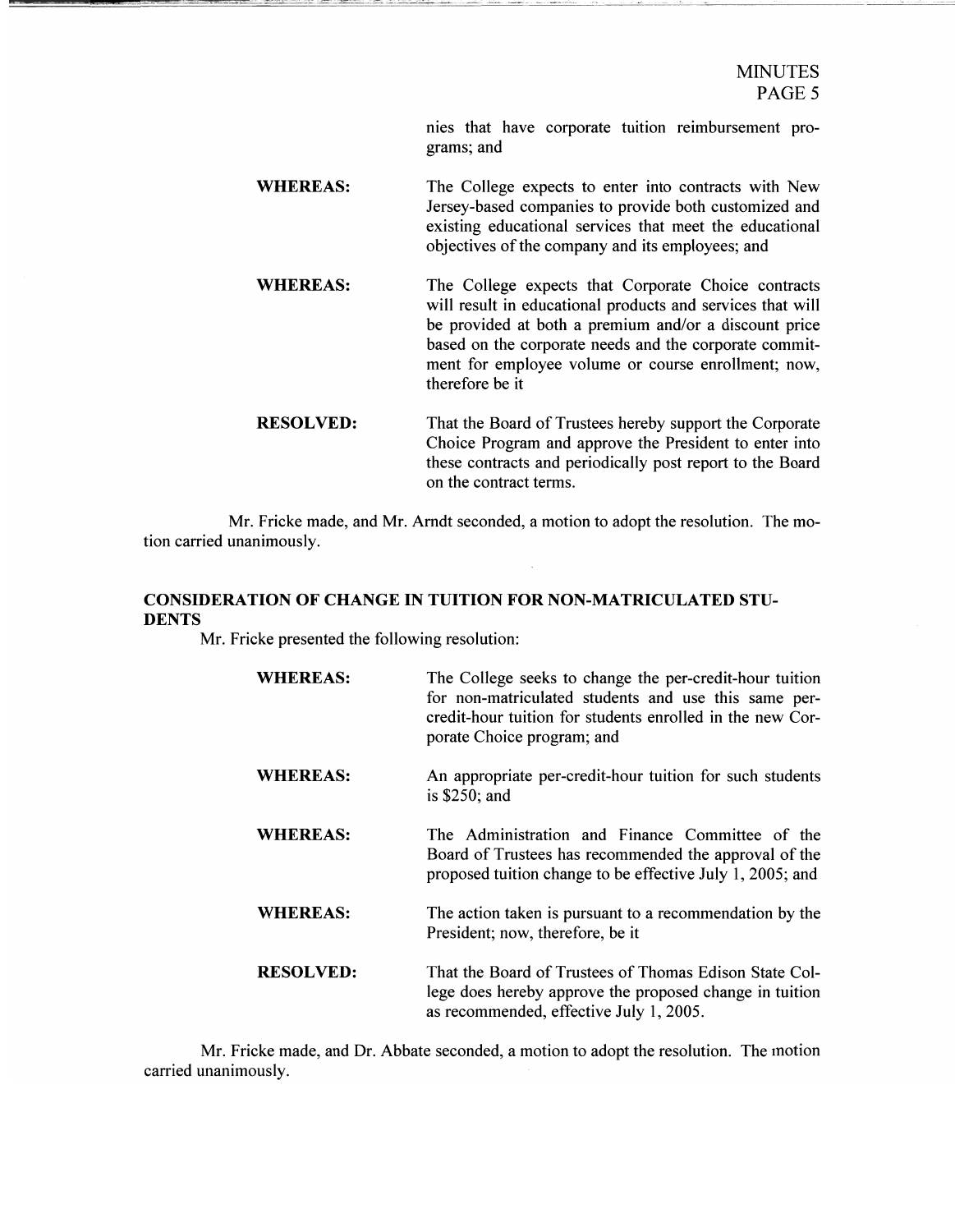nies that have corporate tuition reimbursement programs; and

- WHEREAS: The College expects to enter into contracts with New Jersey-based companies to provide both customized and existing educational services that meet the educational objectives of the company and its employees; and
- WHEREAS: The College expects that Corporate Choice contracts will result in educational products and services that will be provided at both a premium and/or a discount price based on the corporate needs and the corporate commitment for employee volume or course enrollment; now, therefore be it
- RESOLVED: That the Board of Trustees hereby support the Corporate Choice Program and approve the President to enter into these contracts and periodically post report to the Board on the contract terms.

Mr. Fricke made, and Mr. Arndt seconded, a motion to adopt the resolution. The motion carried unanimously.

# CONSIDERATION OF CHANGE IN TUITION FOR NON-MATRICULATED STU-DENTS

Mr. Fricke presented the following resolution:

| <b>WHEREAS:</b>  | The College seeks to change the per-credit-hour tuition<br>for non-matriculated students and use this same per-<br>credit-hour tuition for students enrolled in the new Cor-<br>porate Choice program; and |
|------------------|------------------------------------------------------------------------------------------------------------------------------------------------------------------------------------------------------------|
| <b>WHEREAS:</b>  | An appropriate per-credit-hour tuition for such students<br>is $$250$ ; and                                                                                                                                |
| <b>WHEREAS:</b>  | The Administration and Finance Committee of the<br>Board of Trustees has recommended the approval of the<br>proposed tuition change to be effective July 1, 2005; and                                      |
| <b>WHEREAS:</b>  | The action taken is pursuant to a recommendation by the<br>President; now, therefore, be it                                                                                                                |
| <b>RESOLVED:</b> | That the Board of Trustees of Thomas Edison State Col-<br>lege does hereby approve the proposed change in tuition<br>as recommended, effective July 1, 2005.                                               |

Mr. Fricke made, and Dr. Abbate seconded, a motion to adopt the resolution. The motion carried unanimously.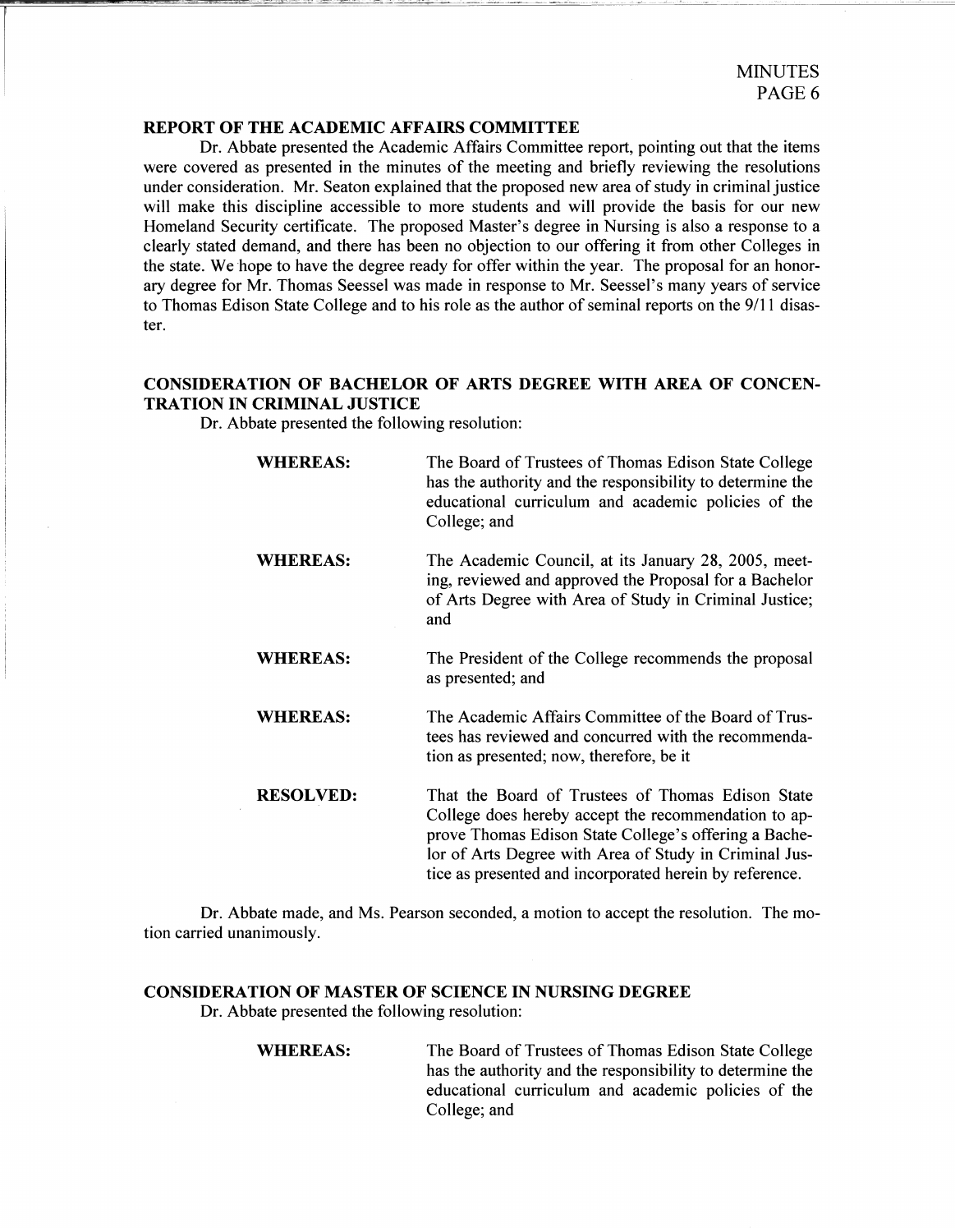### REPORT OF THE ACADEMIC AFFAIRS COMMITTEE

Dr. Abbate presented the Academic Affairs Committee report, pointing out that the items were covered as presented in the minutes of the meeting and briefly reviewing the resolutions under consideration. Mr. Seaton explained that the proposed new area of study in criminal justice will make this discipline accessible to more students and will provide the basis for our new Homeland Security certificate. The proposed Master's degree in Nursing is also a response to a clearly stated demand, and there has been no objection to our offering it from other Colleges in the state. We hope to have the degree ready for offer within the year. The proposal for an honorary degree for Mr. Thomas Seessel was made in response to Mr. Seessel's many years of service to Thomas Edison State College and to his role as the author of seminal reports on the 9/11 disaster.

# CONSIDERATION OF BACHELOR OF ARTS DEGREE WITH AREA OF CONCEN-TRATION IN CRIMINAL JUSTICE

Dr. Abbate presented the following resolution:

WHEREAS: The Board of Trustees of Thomas Edison State College has the authority and the responsibility to determine the educational curriculum and academic policies of the College; and WHEREAS: The Academic Council, at its January 28, 2005, meeting, reviewed and approved the Proposal for a Bachelor of Arts Degree with Area of Study in Criminal Justice; and WHEREAS: The President of the College recommends the proposal as presented; and WHEREAS: The Academic Affairs Committee of the Board of Trustees has reviewed and concurred with the recommendation as presented; now, therefore, be it RESOLVED: That the Board of Trustees of Thomas Edison State College does hereby accept the recommendation to approve Thomas Edison State College's offering a Bachelor of Arts Degree with Area of Study in Criminal Justice as presented and incorporated herein by reference.

Dr. Abbate made, and Ms. Pearson seconded, a motion to accept the resolution. The motion carried unanimously.

### CONSIDERATION OF MASTER OF SCIENCE IN NURSING DEGREE

Dr. Abbate presented the following resolution:

WHEREAS: The Board of Trustees of Thomas Edison State College has the authority and the responsibility to determine the educational curriculum and academic policies of the College; and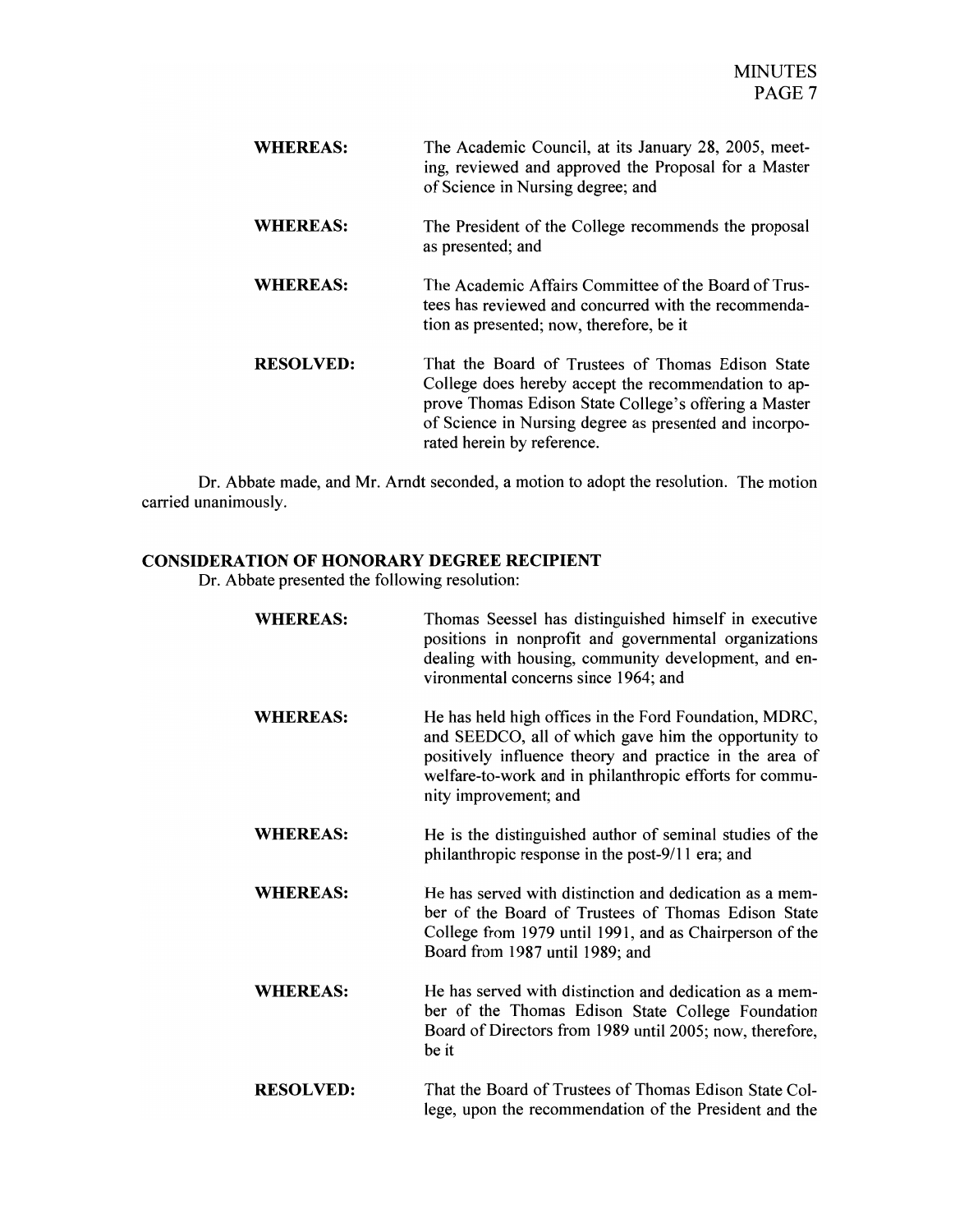| <b>WHEREAS:</b>  | The Academic Council, at its January 28, 2005, meet-<br>ing, reviewed and approved the Proposal for a Master<br>of Science in Nursing degree; and                                                                                                          |
|------------------|------------------------------------------------------------------------------------------------------------------------------------------------------------------------------------------------------------------------------------------------------------|
| <b>WHEREAS:</b>  | The President of the College recommends the proposal<br>as presented; and                                                                                                                                                                                  |
| <b>WHEREAS:</b>  | The Academic Affairs Committee of the Board of Trus-<br>tees has reviewed and concurred with the recommenda-<br>tion as presented; now, therefore, be it                                                                                                   |
| <b>RESOLVED:</b> | That the Board of Trustees of Thomas Edison State<br>College does hereby accept the recommendation to ap-<br>prove Thomas Edison State College's offering a Master<br>of Science in Nursing degree as presented and incorpo-<br>rated herein by reference. |

Dr. Abbate made, and Mr. Arndt seconded, a motion to adopt the resolution. The motion carried unanimously.

# **CONSIDERATION OF HONORARY DEGREE RECIPIENT**

Dr. Abbate presented the following resolution:

| <b>WHEREAS:</b>  | Thomas Seessel has distinguished himself in executive<br>positions in nonprofit and governmental organizations<br>dealing with housing, community development, and en-<br>vironmental concerns since 1964; and                                                |
|------------------|---------------------------------------------------------------------------------------------------------------------------------------------------------------------------------------------------------------------------------------------------------------|
| <b>WHEREAS:</b>  | He has held high offices in the Ford Foundation, MDRC,<br>and SEEDCO, all of which gave him the opportunity to<br>positively influence theory and practice in the area of<br>welfare-to-work and in philanthropic efforts for commu-<br>nity improvement; and |
| <b>WHEREAS:</b>  | He is the distinguished author of seminal studies of the<br>philanthropic response in the post-9/11 era; and                                                                                                                                                  |
| <b>WHEREAS:</b>  | He has served with distinction and dedication as a mem-<br>ber of the Board of Trustees of Thomas Edison State<br>College from 1979 until 1991, and as Chairperson of the<br>Board from 1987 until 1989; and                                                  |
| <b>WHEREAS:</b>  | He has served with distinction and dedication as a mem-<br>ber of the Thomas Edison State College Foundation<br>Board of Directors from 1989 until 2005; now, therefore,<br>be it                                                                             |
| <b>RESOLVED:</b> | That the Board of Trustees of Thomas Edison State Col-<br>lege, upon the recommendation of the President and the                                                                                                                                              |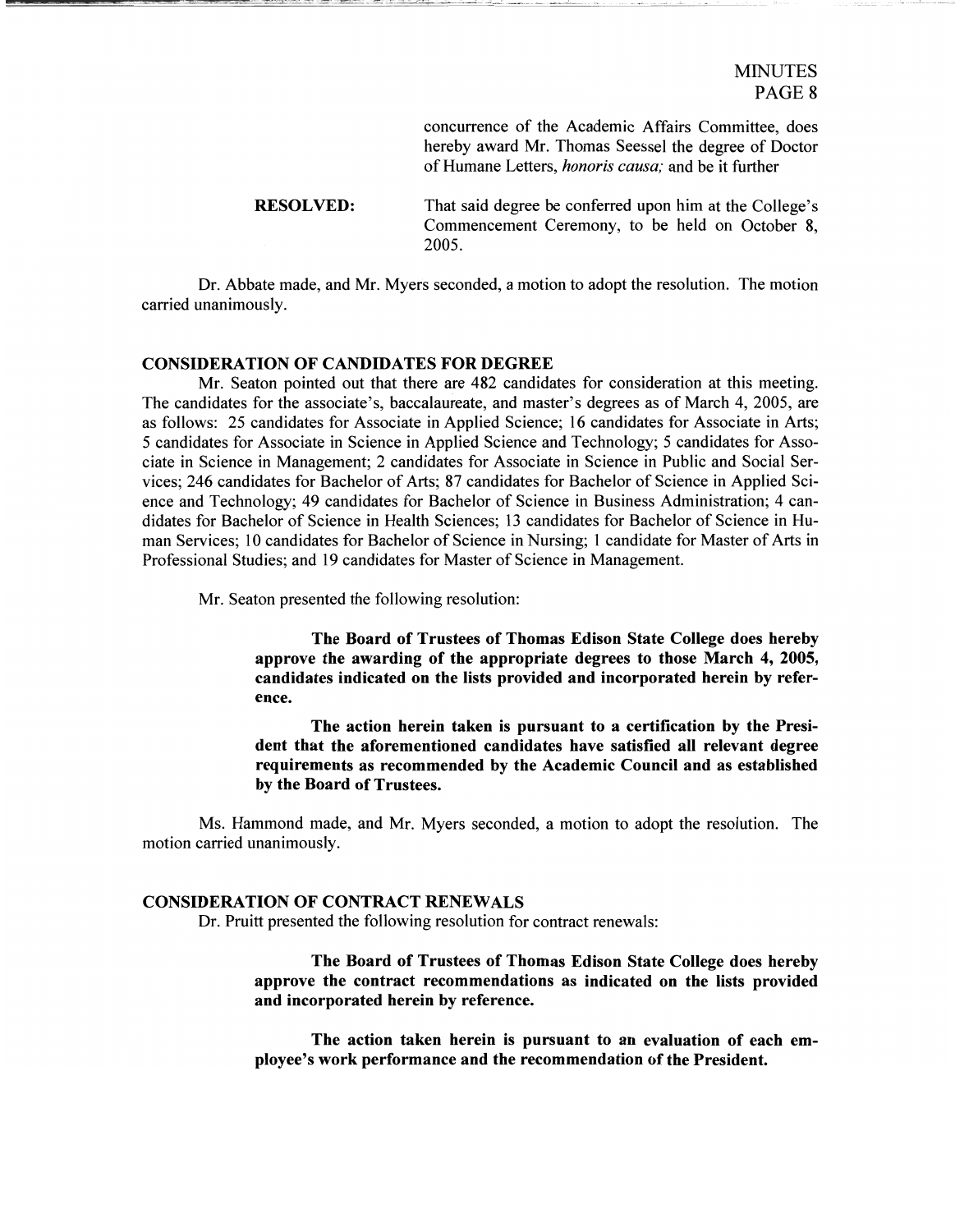concurrence of the Academic Affairs Committee, does hereby award Mr. Thomas Seessel the degree of Doctor of Humane Letters, *honoris causa;* and be it further

**RESOLVED:** That said degree be conferred upon him at the College's Commencement Ceremony, to be held on October 8, 2005.

Dr. Abbate made, and Mr. Myers seconded, a motion to adopt the resolution. The motion carried unanimously.

### CONSIDERATION OF CANDIDATES FOR DEGREE

Mr. Seaton pointed out that there are 482 candidates for consideration at this meeting. The candidates for the associate's, baccalaureate, and master's degrees as of March 4, 2005, are as follows: 25 candidates for Associate in Applied Science; 16 candidates for Associate in Arts; 5 candidates for Associate in Science in Applied Science and Technology; 5 candidates for Associate in Science in Management; 2 candidates for Associate in Science in Public and Social Services; 246 candidates for Bachelor of Arts; 87 candidates for Bachelor of Science in Applied Science and Technology; 49 candidates for Bachelor of Science in Business Administration; 4 candidates for Bachelor of Science in Health Sciences; 13 candidates for Bachelor of Science in Human Services; 10 candidates for Bachelor of Science in Nursing; 1 candidate for Master of Arts in Professional Studies; and 19 candidates for Master of Science in Management.

Mr. Seaton presented the following resolution:

The Board of Trustees of Thomas Edison State College does hereby approve the awarding of the appropriate degrees to those March 4, 2005, candidates indicated on the lists provided and incorporated herein by reference.

The action herein taken is pursuant to a certification by the President that the aforementioned candidates have satisfied all relevant degree requirements as recommended by the Academic Council and as established by the Board of Trustees.

Ms. Hammond made, and Mr. Myers seconded, a motion to adopt the resolution. The motion carried unanimously.

### CONSIDERATION OF CONTRACT RENEWALS

Dr. Pruitt presented the following resolution for contract renewals:

The Board of Trustees of Thomas Edison State College does hereby approve the contract recommendations as indicated on the lists provided and incorporated herein by reference.

The action taken herein is pursuant to an evaluation of each employee's work performance and the recommendation of the President.